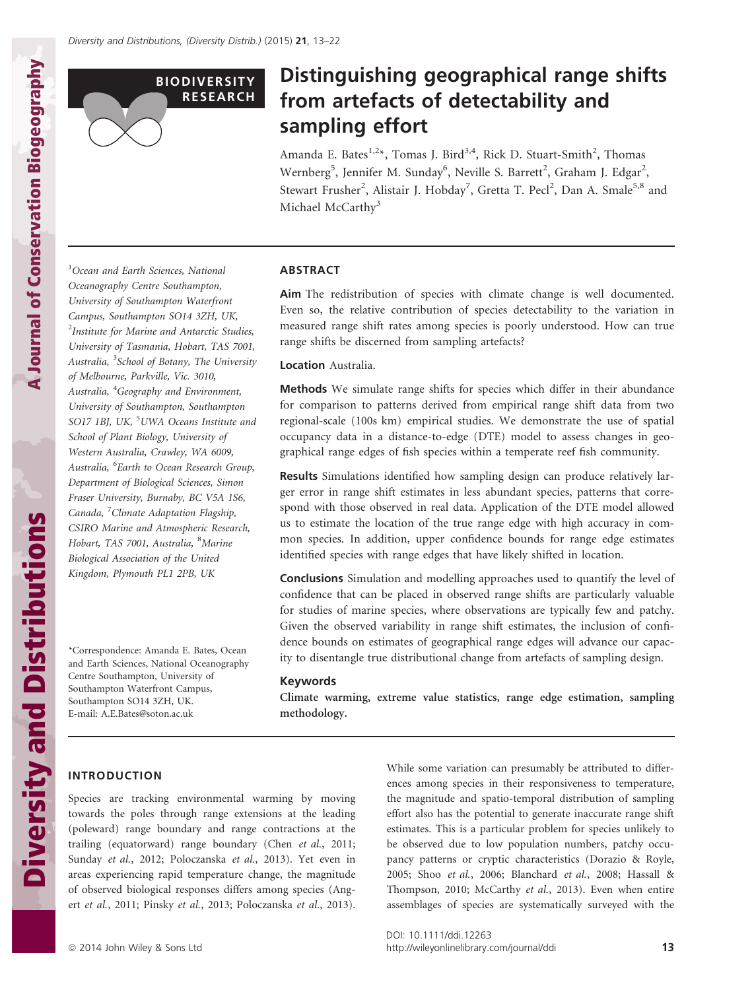

# Distinguishing geographical range shifts from artefacts of detectability and sampling effort

Amanda E. Bates<sup>1,2\*</sup>, Tomas J. Bird<sup>3,4</sup>, Rick D. Stuart-Smith<sup>2</sup>, Thomas Wernberg $^5$ , Jennifer M. Sunday $^6$ , Neville S. Barrett<sup>2</sup>, Graham J. Edgar<sup>2</sup>, Stewart Frusher<sup>2</sup>, Alistair J. Hobday<sup>7</sup>, Gretta T. Pecl<sup>2</sup>, Dan A. Smale<sup>5,8</sup> and Michael McCarthy<sup>3</sup>

<sup>1</sup>Ocean and Earth Sciences, National Oceanography Centre Southampton, University of Southampton Waterfront Campus, Southampton SO14 3ZH, UK, <sup>2</sup>Institute for Marine and Antarctic Studies, University of Tasmania, Hobart, TAS 7001, Australia, <sup>3</sup>School of Botany, The University of Melbourne, Parkville, Vic. 3010, Australia, <sup>4</sup>Geography and Environment, University of Southampton, Southampton SO17 1BJ, UK, <sup>5</sup>UWA Oceans Institute and School of Plant Biology, University of Western Australia, Crawley, WA 6009, Australia, <sup>6</sup>Earth to Ocean Research Group, Department of Biological Sciences, Simon Fraser University, Burnaby, BC V5A 1S6, Canada, <sup>7</sup>Climate Adaptation Flagship, CSIRO Marine and Atmospheric Research, Hobart, TAS 7001, Australia, <sup>8</sup>Marine Biological Association of the United Kingdom, Plymouth PL1 2PB, UK

\*Correspondence: Amanda E. Bates, Ocean and Earth Sciences, National Oceanography Centre Southampton, University of Southampton Waterfront Campus, Southampton SO14 3ZH, UK. E-mail: A.E.Bates@soton.ac.uk

# ABSTRACT

Aim The redistribution of species with climate change is well documented. Even so, the relative contribution of species detectability to the variation in measured range shift rates among species is poorly understood. How can true range shifts be discerned from sampling artefacts?

#### Location Australia.

Methods We simulate range shifts for species which differ in their abundance for comparison to patterns derived from empirical range shift data from two regional-scale (100s km) empirical studies. We demonstrate the use of spatial occupancy data in a distance-to-edge (DTE) model to assess changes in geographical range edges of fish species within a temperate reef fish community.

Results Simulations identified how sampling design can produce relatively larger error in range shift estimates in less abundant species, patterns that correspond with those observed in real data. Application of the DTE model allowed us to estimate the location of the true range edge with high accuracy in common species. In addition, upper confidence bounds for range edge estimates identified species with range edges that have likely shifted in location.

Conclusions Simulation and modelling approaches used to quantify the level of confidence that can be placed in observed range shifts are particularly valuable for studies of marine species, where observations are typically few and patchy. Given the observed variability in range shift estimates, the inclusion of confidence bounds on estimates of geographical range edges will advance our capacity to disentangle true distributional change from artefacts of sampling design.

#### Keywords

Climate warming, extreme value statistics, range edge estimation, sampling methodology.

#### INTRODUCTION

Species are tracking environmental warming by moving towards the poles through range extensions at the leading (poleward) range boundary and range contractions at the trailing (equatorward) range boundary (Chen et al., 2011; Sunday et al., 2012; Poloczanska et al., 2013). Yet even in areas experiencing rapid temperature change, the magnitude of observed biological responses differs among species (Angert et al., 2011; Pinsky et al., 2013; Poloczanska et al., 2013). While some variation can presumably be attributed to differences among species in their responsiveness to temperature, the magnitude and spatio-temporal distribution of sampling effort also has the potential to generate inaccurate range shift estimates. This is a particular problem for species unlikely to be observed due to low population numbers, patchy occupancy patterns or cryptic characteristics (Dorazio & Royle, 2005; Shoo et al., 2006; Blanchard et al., 2008; Hassall & Thompson, 2010; McCarthy et al., 2013). Even when entire assemblages of species are systematically surveyed with the

A Journal of Conservation Biogeography

A Journal of Conservation Biogeography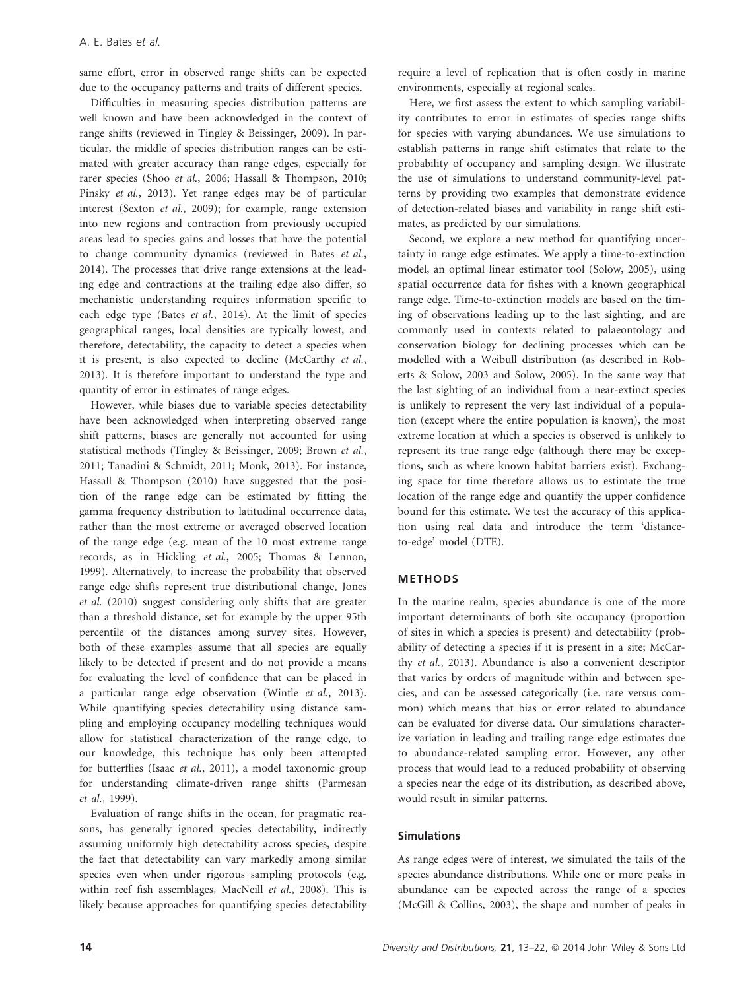same effort, error in observed range shifts can be expected due to the occupancy patterns and traits of different species.

Difficulties in measuring species distribution patterns are well known and have been acknowledged in the context of range shifts (reviewed in Tingley & Beissinger, 2009). In particular, the middle of species distribution ranges can be estimated with greater accuracy than range edges, especially for rarer species (Shoo et al., 2006; Hassall & Thompson, 2010; Pinsky et al., 2013). Yet range edges may be of particular interest (Sexton et al., 2009); for example, range extension into new regions and contraction from previously occupied areas lead to species gains and losses that have the potential to change community dynamics (reviewed in Bates et al., 2014). The processes that drive range extensions at the leading edge and contractions at the trailing edge also differ, so mechanistic understanding requires information specific to each edge type (Bates et al., 2014). At the limit of species geographical ranges, local densities are typically lowest, and therefore, detectability, the capacity to detect a species when it is present, is also expected to decline (McCarthy et al., 2013). It is therefore important to understand the type and quantity of error in estimates of range edges.

However, while biases due to variable species detectability have been acknowledged when interpreting observed range shift patterns, biases are generally not accounted for using statistical methods (Tingley & Beissinger, 2009; Brown et al., 2011; Tanadini & Schmidt, 2011; Monk, 2013). For instance, Hassall & Thompson (2010) have suggested that the position of the range edge can be estimated by fitting the gamma frequency distribution to latitudinal occurrence data, rather than the most extreme or averaged observed location of the range edge (e.g. mean of the 10 most extreme range records, as in Hickling et al., 2005; Thomas & Lennon, 1999). Alternatively, to increase the probability that observed range edge shifts represent true distributional change, Jones et al. (2010) suggest considering only shifts that are greater than a threshold distance, set for example by the upper 95th percentile of the distances among survey sites. However, both of these examples assume that all species are equally likely to be detected if present and do not provide a means for evaluating the level of confidence that can be placed in a particular range edge observation (Wintle et al., 2013). While quantifying species detectability using distance sampling and employing occupancy modelling techniques would allow for statistical characterization of the range edge, to our knowledge, this technique has only been attempted for butterflies (Isaac et al., 2011), a model taxonomic group for understanding climate-driven range shifts (Parmesan et al., 1999).

Evaluation of range shifts in the ocean, for pragmatic reasons, has generally ignored species detectability, indirectly assuming uniformly high detectability across species, despite the fact that detectability can vary markedly among similar species even when under rigorous sampling protocols (e.g. within reef fish assemblages, MacNeill et al., 2008). This is likely because approaches for quantifying species detectability require a level of replication that is often costly in marine environments, especially at regional scales.

Here, we first assess the extent to which sampling variability contributes to error in estimates of species range shifts for species with varying abundances. We use simulations to establish patterns in range shift estimates that relate to the probability of occupancy and sampling design. We illustrate the use of simulations to understand community-level patterns by providing two examples that demonstrate evidence of detection-related biases and variability in range shift estimates, as predicted by our simulations.

Second, we explore a new method for quantifying uncertainty in range edge estimates. We apply a time-to-extinction model, an optimal linear estimator tool (Solow, 2005), using spatial occurrence data for fishes with a known geographical range edge. Time-to-extinction models are based on the timing of observations leading up to the last sighting, and are commonly used in contexts related to palaeontology and conservation biology for declining processes which can be modelled with a Weibull distribution (as described in Roberts & Solow, 2003 and Solow, 2005). In the same way that the last sighting of an individual from a near-extinct species is unlikely to represent the very last individual of a population (except where the entire population is known), the most extreme location at which a species is observed is unlikely to represent its true range edge (although there may be exceptions, such as where known habitat barriers exist). Exchanging space for time therefore allows us to estimate the true location of the range edge and quantify the upper confidence bound for this estimate. We test the accuracy of this application using real data and introduce the term 'distanceto-edge' model (DTE).

#### METHODS

In the marine realm, species abundance is one of the more important determinants of both site occupancy (proportion of sites in which a species is present) and detectability (probability of detecting a species if it is present in a site; McCarthy et al., 2013). Abundance is also a convenient descriptor that varies by orders of magnitude within and between species, and can be assessed categorically (i.e. rare versus common) which means that bias or error related to abundance can be evaluated for diverse data. Our simulations characterize variation in leading and trailing range edge estimates due to abundance-related sampling error. However, any other process that would lead to a reduced probability of observing a species near the edge of its distribution, as described above, would result in similar patterns.

#### Simulations

As range edges were of interest, we simulated the tails of the species abundance distributions. While one or more peaks in abundance can be expected across the range of a species (McGill & Collins, 2003), the shape and number of peaks in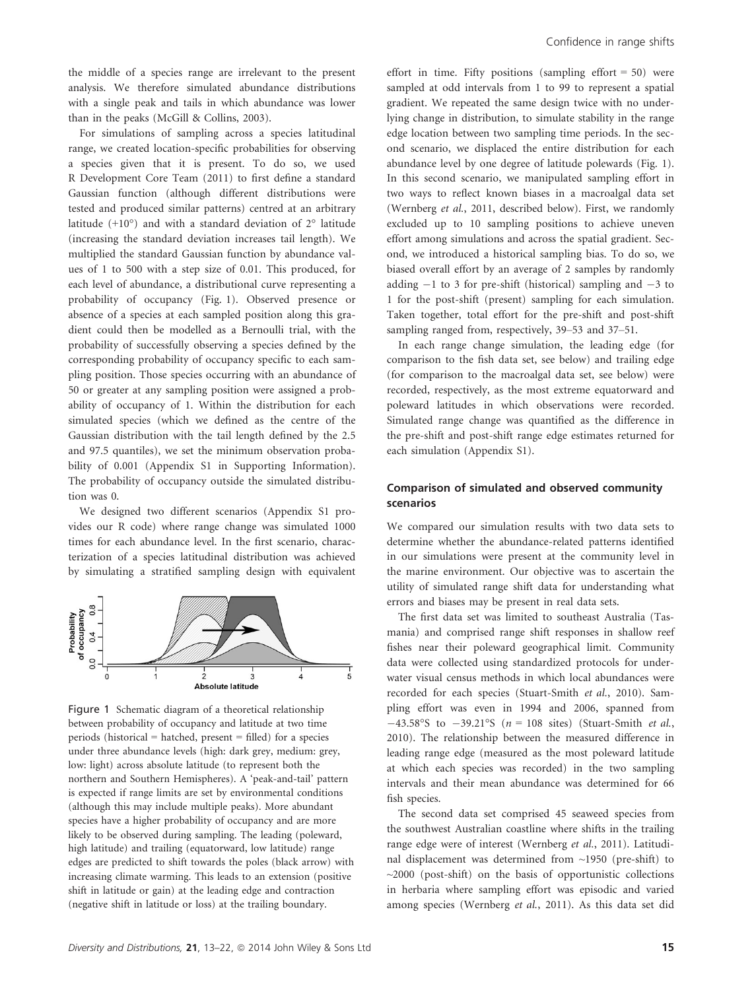the middle of a species range are irrelevant to the present analysis. We therefore simulated abundance distributions with a single peak and tails in which abundance was lower than in the peaks (McGill & Collins, 2003).

For simulations of sampling across a species latitudinal range, we created location-specific probabilities for observing a species given that it is present. To do so, we used R Development Core Team (2011) to first define a standard Gaussian function (although different distributions were tested and produced similar patterns) centred at an arbitrary latitude  $(+10^{\circ})$  and with a standard deviation of  $2^{\circ}$  latitude (increasing the standard deviation increases tail length). We multiplied the standard Gaussian function by abundance values of 1 to 500 with a step size of 0.01. This produced, for each level of abundance, a distributional curve representing a probability of occupancy (Fig. 1). Observed presence or absence of a species at each sampled position along this gradient could then be modelled as a Bernoulli trial, with the probability of successfully observing a species defined by the corresponding probability of occupancy specific to each sampling position. Those species occurring with an abundance of 50 or greater at any sampling position were assigned a probability of occupancy of 1. Within the distribution for each simulated species (which we defined as the centre of the Gaussian distribution with the tail length defined by the 2.5 and 97.5 quantiles), we set the minimum observation probability of 0.001 (Appendix S1 in Supporting Information). The probability of occupancy outside the simulated distribution was 0.

We designed two different scenarios (Appendix S1 provides our R code) where range change was simulated 1000 times for each abundance level. In the first scenario, characterization of a species latitudinal distribution was achieved by simulating a stratified sampling design with equivalent



Figure 1 Schematic diagram of a theoretical relationship between probability of occupancy and latitude at two time periods (historical = hatched, present = filled) for a species under three abundance levels (high: dark grey, medium: grey, low: light) across absolute latitude (to represent both the northern and Southern Hemispheres). A 'peak-and-tail' pattern is expected if range limits are set by environmental conditions (although this may include multiple peaks). More abundant species have a higher probability of occupancy and are more likely to be observed during sampling. The leading (poleward, high latitude) and trailing (equatorward, low latitude) range edges are predicted to shift towards the poles (black arrow) with increasing climate warming. This leads to an extension (positive shift in latitude or gain) at the leading edge and contraction (negative shift in latitude or loss) at the trailing boundary.

effort in time. Fifty positions (sampling effort  $= 50$ ) were sampled at odd intervals from 1 to 99 to represent a spatial gradient. We repeated the same design twice with no underlying change in distribution, to simulate stability in the range edge location between two sampling time periods. In the second scenario, we displaced the entire distribution for each abundance level by one degree of latitude polewards (Fig. 1). In this second scenario, we manipulated sampling effort in two ways to reflect known biases in a macroalgal data set (Wernberg et al., 2011, described below). First, we randomly excluded up to 10 sampling positions to achieve uneven effort among simulations and across the spatial gradient. Second, we introduced a historical sampling bias. To do so, we biased overall effort by an average of 2 samples by randomly adding  $-1$  to 3 for pre-shift (historical) sampling and  $-3$  to 1 for the post-shift (present) sampling for each simulation. Taken together, total effort for the pre-shift and post-shift sampling ranged from, respectively, 39–53 and 37–51.

In each range change simulation, the leading edge (for comparison to the fish data set, see below) and trailing edge (for comparison to the macroalgal data set, see below) were recorded, respectively, as the most extreme equatorward and poleward latitudes in which observations were recorded. Simulated range change was quantified as the difference in the pre-shift and post-shift range edge estimates returned for each simulation (Appendix S1).

# Comparison of simulated and observed community scenarios

We compared our simulation results with two data sets to determine whether the abundance-related patterns identified in our simulations were present at the community level in the marine environment. Our objective was to ascertain the utility of simulated range shift data for understanding what errors and biases may be present in real data sets.

The first data set was limited to southeast Australia (Tasmania) and comprised range shift responses in shallow reef fishes near their poleward geographical limit. Community data were collected using standardized protocols for underwater visual census methods in which local abundances were recorded for each species (Stuart-Smith et al., 2010). Sampling effort was even in 1994 and 2006, spanned from  $-43.58^{\circ}$ S to  $-39.21^{\circ}$ S ( $n = 108$  sites) (Stuart-Smith *et al.*, 2010). The relationship between the measured difference in leading range edge (measured as the most poleward latitude at which each species was recorded) in the two sampling intervals and their mean abundance was determined for 66 fish species.

The second data set comprised 45 seaweed species from the southwest Australian coastline where shifts in the trailing range edge were of interest (Wernberg et al., 2011). Latitudinal displacement was determined from ~1950 (pre-shift) to  $\sim$ 2000 (post-shift) on the basis of opportunistic collections in herbaria where sampling effort was episodic and varied among species (Wernberg et al., 2011). As this data set did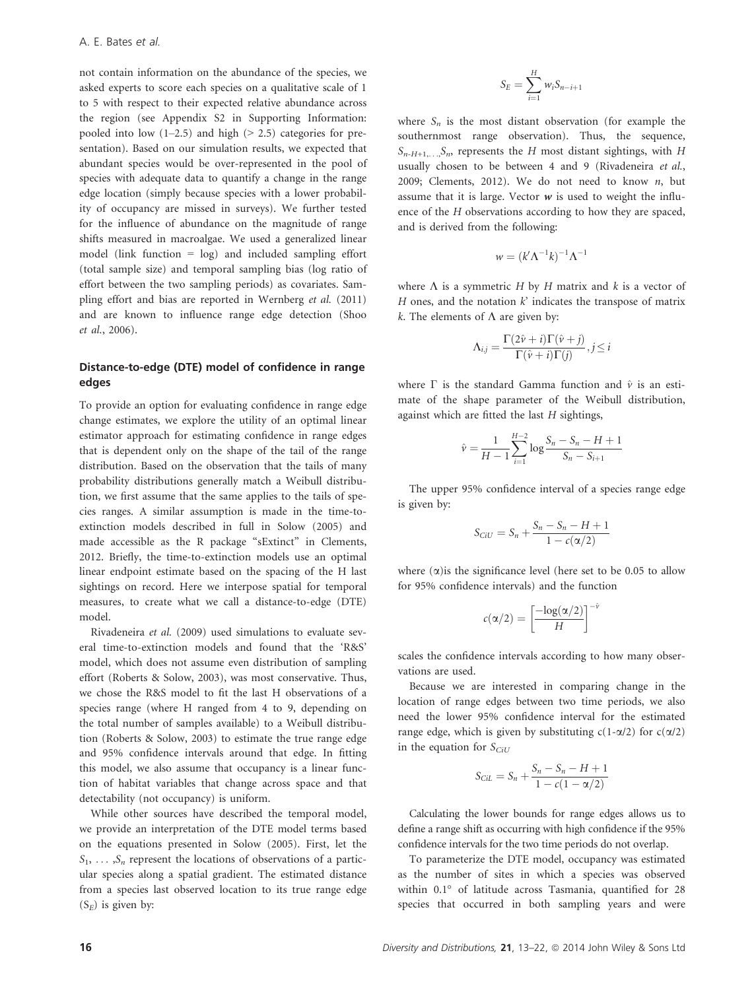not contain information on the abundance of the species, we asked experts to score each species on a qualitative scale of 1 to 5 with respect to their expected relative abundance across the region (see Appendix S2 in Supporting Information: pooled into low  $(1-2.5)$  and high  $(> 2.5)$  categories for presentation). Based on our simulation results, we expected that abundant species would be over-represented in the pool of species with adequate data to quantify a change in the range edge location (simply because species with a lower probability of occupancy are missed in surveys). We further tested for the influence of abundance on the magnitude of range shifts measured in macroalgae. We used a generalized linear model (link function = log) and included sampling effort (total sample size) and temporal sampling bias (log ratio of effort between the two sampling periods) as covariates. Sampling effort and bias are reported in Wernberg et al. (2011) and are known to influence range edge detection (Shoo et al., 2006).

#### Distance-to-edge (DTE) model of confidence in range edges

To provide an option for evaluating confidence in range edge change estimates, we explore the utility of an optimal linear estimator approach for estimating confidence in range edges that is dependent only on the shape of the tail of the range distribution. Based on the observation that the tails of many probability distributions generally match a Weibull distribution, we first assume that the same applies to the tails of species ranges. A similar assumption is made in the time-toextinction models described in full in Solow (2005) and made accessible as the R package "sExtinct" in Clements, 2012. Briefly, the time-to-extinction models use an optimal linear endpoint estimate based on the spacing of the H last sightings on record. Here we interpose spatial for temporal measures, to create what we call a distance-to-edge (DTE) model.

Rivadeneira et al. (2009) used simulations to evaluate several time-to-extinction models and found that the 'R&S' model, which does not assume even distribution of sampling effort (Roberts & Solow, 2003), was most conservative. Thus, we chose the R&S model to fit the last H observations of a species range (where H ranged from 4 to 9, depending on the total number of samples available) to a Weibull distribution (Roberts & Solow, 2003) to estimate the true range edge and 95% confidence intervals around that edge. In fitting this model, we also assume that occupancy is a linear function of habitat variables that change across space and that detectability (not occupancy) is uniform.

While other sources have described the temporal model, we provide an interpretation of the DTE model terms based on the equations presented in Solow (2005). First, let the  $S_1, \ldots, S_n$  represent the locations of observations of a particular species along a spatial gradient. The estimated distance from a species last observed location to its true range edge  $(S_E)$  is given by:

$$
S_E = \sum_{i=1}^H w_i S_{n-i+1}
$$

where  $S_n$  is the most distant observation (for example the southernmost range observation). Thus, the sequence,  $S_{n-H+1,\ldots}, S_n$ , represents the H most distant sightings, with H usually chosen to be between 4 and 9 (Rivadeneira et al., 2009; Clements, 2012). We do not need to know  $n$ , but assume that it is large. Vector  $w$  is used to weight the influence of the H observations according to how they are spaced, and is derived from the following:

$$
w = (k'\Lambda^{-1}k)^{-1}\Lambda^{-1}
$$

where  $\Lambda$  is a symmetric H by H matrix and k is a vector of H ones, and the notation  $k'$  indicates the transpose of matrix k. The elements of  $\Lambda$  are given by:

$$
\Lambda_{i,j} = \frac{\Gamma(2\hat{\nu} + i)\Gamma(\hat{\nu} + j)}{\Gamma(\hat{\nu} + i)\Gamma(j)}, j \leq i
$$

where  $\Gamma$  is the standard Gamma function and  $\hat{v}$  is an estimate of the shape parameter of the Weibull distribution, against which are fitted the last  $H$  sightings,

$$
\hat{v} = \frac{1}{H-1} \sum_{i=1}^{H-2} \log \frac{S_n - S_n - H + 1}{S_n - S_{i+1}}
$$

The upper 95% confidence interval of a species range edge is given by:

$$
S_{CiU} = S_n + \frac{S_n - S_n - H + 1}{1 - c(\alpha/2)}
$$

where  $(\alpha)$  is the significance level (here set to be 0.05 to allow for 95% confidence intervals) and the function

$$
c(\alpha/2) = \left[\frac{-\log(\alpha/2)}{H}\right]^{-\hat{\nu}}
$$

scales the confidence intervals according to how many observations are used.

Because we are interested in comparing change in the location of range edges between two time periods, we also need the lower 95% confidence interval for the estimated range edge, which is given by substituting  $c(1-\alpha/2)$  for  $c(\alpha/2)$ in the equation for  $S<sub>CiU</sub>$ 

$$
S_{CiL} = S_n + \frac{S_n - S_n - H + 1}{1 - c(1 - \alpha/2)}
$$

Calculating the lower bounds for range edges allows us to define a range shift as occurring with high confidence if the 95% confidence intervals for the two time periods do not overlap.

To parameterize the DTE model, occupancy was estimated as the number of sites in which a species was observed within 0.1° of latitude across Tasmania, quantified for 28 species that occurred in both sampling years and were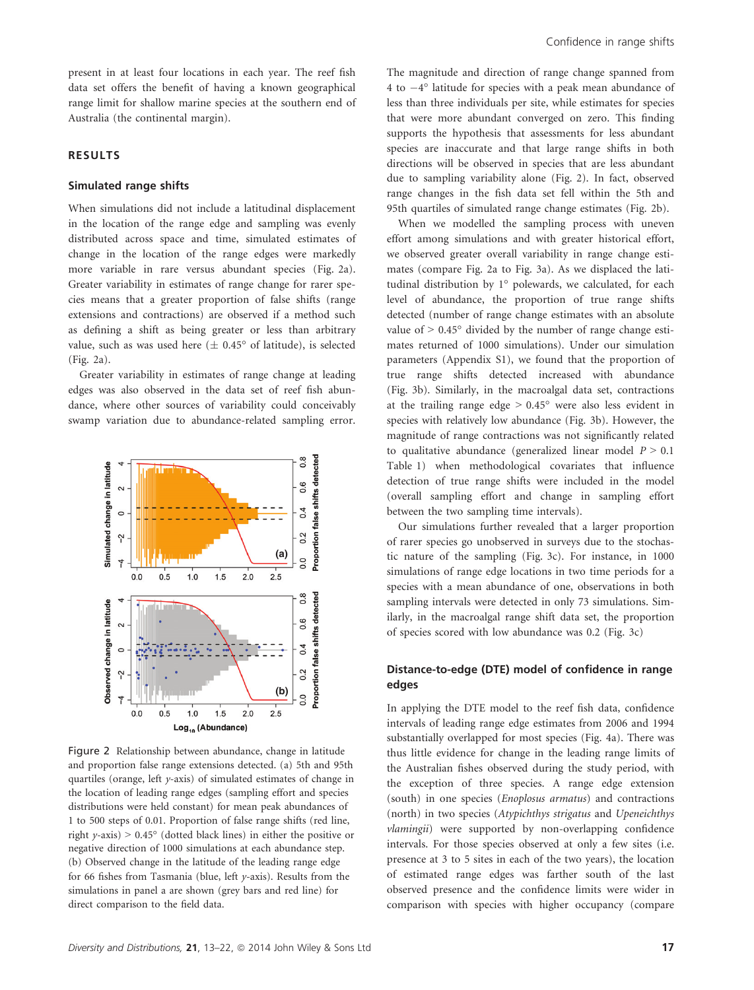present in at least four locations in each year. The reef fish data set offers the benefit of having a known geographical range limit for shallow marine species at the southern end of Australia (the continental margin).

#### RESULTS

#### Simulated range shifts

When simulations did not include a latitudinal displacement in the location of the range edge and sampling was evenly distributed across space and time, simulated estimates of change in the location of the range edges were markedly more variable in rare versus abundant species (Fig. 2a). Greater variability in estimates of range change for rarer species means that a greater proportion of false shifts (range extensions and contractions) are observed if a method such as defining a shift as being greater or less than arbitrary value, such as was used here ( $\pm$  0.45° of latitude), is selected (Fig. 2a).

Greater variability in estimates of range change at leading edges was also observed in the data set of reef fish abundance, where other sources of variability could conceivably swamp variation due to abundance-related sampling error.



Figure 2 Relationship between abundance, change in latitude and proportion false range extensions detected. (a) 5th and 95th quartiles (orange, left y-axis) of simulated estimates of change in the location of leading range edges (sampling effort and species distributions were held constant) for mean peak abundances of 1 to 500 steps of 0.01. Proportion of false range shifts (red line, right  $y$ -axis) > 0.45 $\degree$  (dotted black lines) in either the positive or negative direction of 1000 simulations at each abundance step. (b) Observed change in the latitude of the leading range edge for 66 fishes from Tasmania (blue, left y-axis). Results from the simulations in panel a are shown (grey bars and red line) for direct comparison to the field data.

The magnitude and direction of range change spanned from 4 to  $-4^{\circ}$  latitude for species with a peak mean abundance of less than three individuals per site, while estimates for species that were more abundant converged on zero. This finding supports the hypothesis that assessments for less abundant species are inaccurate and that large range shifts in both directions will be observed in species that are less abundant due to sampling variability alone (Fig. 2). In fact, observed range changes in the fish data set fell within the 5th and 95th quartiles of simulated range change estimates (Fig. 2b).

When we modelled the sampling process with uneven effort among simulations and with greater historical effort, we observed greater overall variability in range change estimates (compare Fig. 2a to Fig. 3a). As we displaced the latitudinal distribution by 1° polewards, we calculated, for each level of abundance, the proportion of true range shifts detected (number of range change estimates with an absolute value of  $> 0.45^{\circ}$  divided by the number of range change estimates returned of 1000 simulations). Under our simulation parameters (Appendix S1), we found that the proportion of true range shifts detected increased with abundance (Fig. 3b). Similarly, in the macroalgal data set, contractions at the trailing range edge  $> 0.45^{\circ}$  were also less evident in species with relatively low abundance (Fig. 3b). However, the magnitude of range contractions was not significantly related to qualitative abundance (generalized linear model  $P > 0.1$ Table 1) when methodological covariates that influence detection of true range shifts were included in the model (overall sampling effort and change in sampling effort between the two sampling time intervals).

Our simulations further revealed that a larger proportion of rarer species go unobserved in surveys due to the stochastic nature of the sampling (Fig. 3c). For instance, in 1000 simulations of range edge locations in two time periods for a species with a mean abundance of one, observations in both sampling intervals were detected in only 73 simulations. Similarly, in the macroalgal range shift data set, the proportion of species scored with low abundance was 0.2 (Fig. 3c)

#### Distance-to-edge (DTE) model of confidence in range edges

In applying the DTE model to the reef fish data, confidence intervals of leading range edge estimates from 2006 and 1994 substantially overlapped for most species (Fig. 4a). There was thus little evidence for change in the leading range limits of the Australian fishes observed during the study period, with the exception of three species. A range edge extension (south) in one species (Enoplosus armatus) and contractions (north) in two species (Atypichthys strigatus and Upeneichthys vlamingii) were supported by non-overlapping confidence intervals. For those species observed at only a few sites (i.e. presence at 3 to 5 sites in each of the two years), the location of estimated range edges was farther south of the last observed presence and the confidence limits were wider in comparison with species with higher occupancy (compare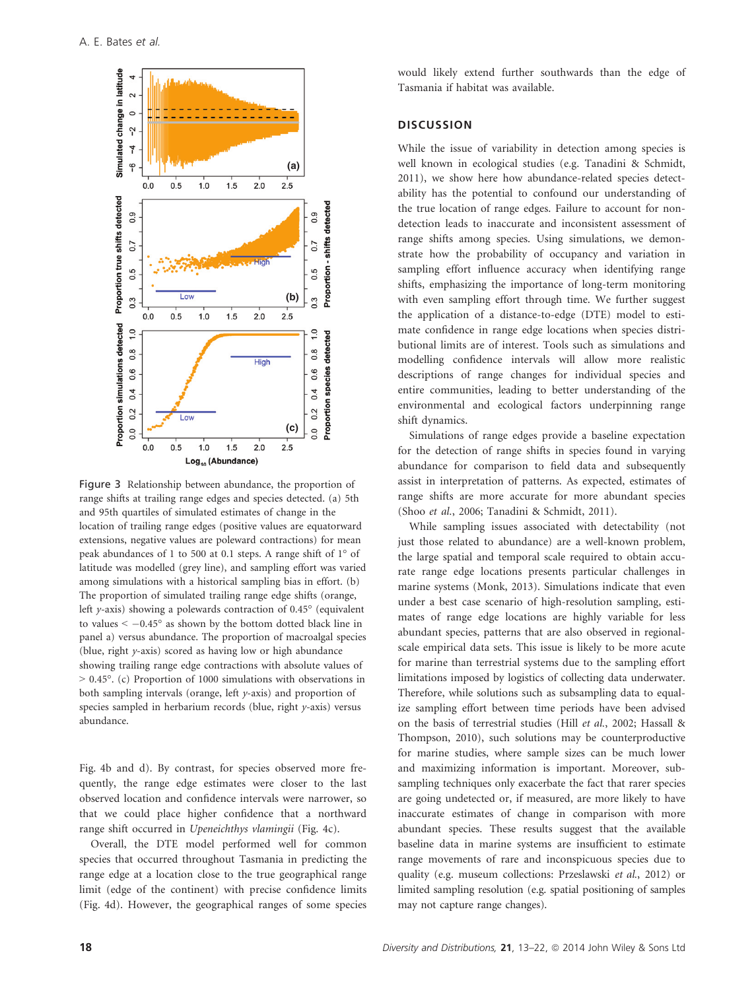

Figure 3 Relationship between abundance, the proportion of range shifts at trailing range edges and species detected. (a) 5th and 95th quartiles of simulated estimates of change in the location of trailing range edges (positive values are equatorward extensions, negative values are poleward contractions) for mean peak abundances of 1 to 500 at 0.1 steps. A range shift of 1° of latitude was modelled (grey line), and sampling effort was varied among simulations with a historical sampling bias in effort. (b) The proportion of simulated trailing range edge shifts (orange, left y-axis) showing a polewards contraction of 0.45° (equivalent to values  $\le -0.45^{\circ}$  as shown by the bottom dotted black line in panel a) versus abundance. The proportion of macroalgal species (blue, right y-axis) scored as having low or high abundance showing trailing range edge contractions with absolute values of > 0.45°. (c) Proportion of 1000 simulations with observations in both sampling intervals (orange, left  $y$ -axis) and proportion of species sampled in herbarium records (blue, right y-axis) versus abundance.

Fig. 4b and d). By contrast, for species observed more frequently, the range edge estimates were closer to the last observed location and confidence intervals were narrower, so that we could place higher confidence that a northward range shift occurred in Upeneichthys vlamingii (Fig. 4c).

Overall, the DTE model performed well for common species that occurred throughout Tasmania in predicting the range edge at a location close to the true geographical range limit (edge of the continent) with precise confidence limits (Fig. 4d). However, the geographical ranges of some species

would likely extend further southwards than the edge of Tasmania if habitat was available.

#### **DISCUSSION**

While the issue of variability in detection among species is well known in ecological studies (e.g. Tanadini & Schmidt, 2011), we show here how abundance-related species detectability has the potential to confound our understanding of the true location of range edges. Failure to account for nondetection leads to inaccurate and inconsistent assessment of range shifts among species. Using simulations, we demonstrate how the probability of occupancy and variation in sampling effort influence accuracy when identifying range shifts, emphasizing the importance of long-term monitoring with even sampling effort through time. We further suggest the application of a distance-to-edge (DTE) model to estimate confidence in range edge locations when species distributional limits are of interest. Tools such as simulations and modelling confidence intervals will allow more realistic descriptions of range changes for individual species and entire communities, leading to better understanding of the environmental and ecological factors underpinning range shift dynamics.

Simulations of range edges provide a baseline expectation for the detection of range shifts in species found in varying abundance for comparison to field data and subsequently assist in interpretation of patterns. As expected, estimates of range shifts are more accurate for more abundant species (Shoo et al., 2006; Tanadini & Schmidt, 2011).

While sampling issues associated with detectability (not just those related to abundance) are a well-known problem, the large spatial and temporal scale required to obtain accurate range edge locations presents particular challenges in marine systems (Monk, 2013). Simulations indicate that even under a best case scenario of high-resolution sampling, estimates of range edge locations are highly variable for less abundant species, patterns that are also observed in regionalscale empirical data sets. This issue is likely to be more acute for marine than terrestrial systems due to the sampling effort limitations imposed by logistics of collecting data underwater. Therefore, while solutions such as subsampling data to equalize sampling effort between time periods have been advised on the basis of terrestrial studies (Hill et al., 2002; Hassall & Thompson, 2010), such solutions may be counterproductive for marine studies, where sample sizes can be much lower and maximizing information is important. Moreover, subsampling techniques only exacerbate the fact that rarer species are going undetected or, if measured, are more likely to have inaccurate estimates of change in comparison with more abundant species. These results suggest that the available baseline data in marine systems are insufficient to estimate range movements of rare and inconspicuous species due to quality (e.g. museum collections: Przeslawski et al., 2012) or limited sampling resolution (e.g. spatial positioning of samples may not capture range changes).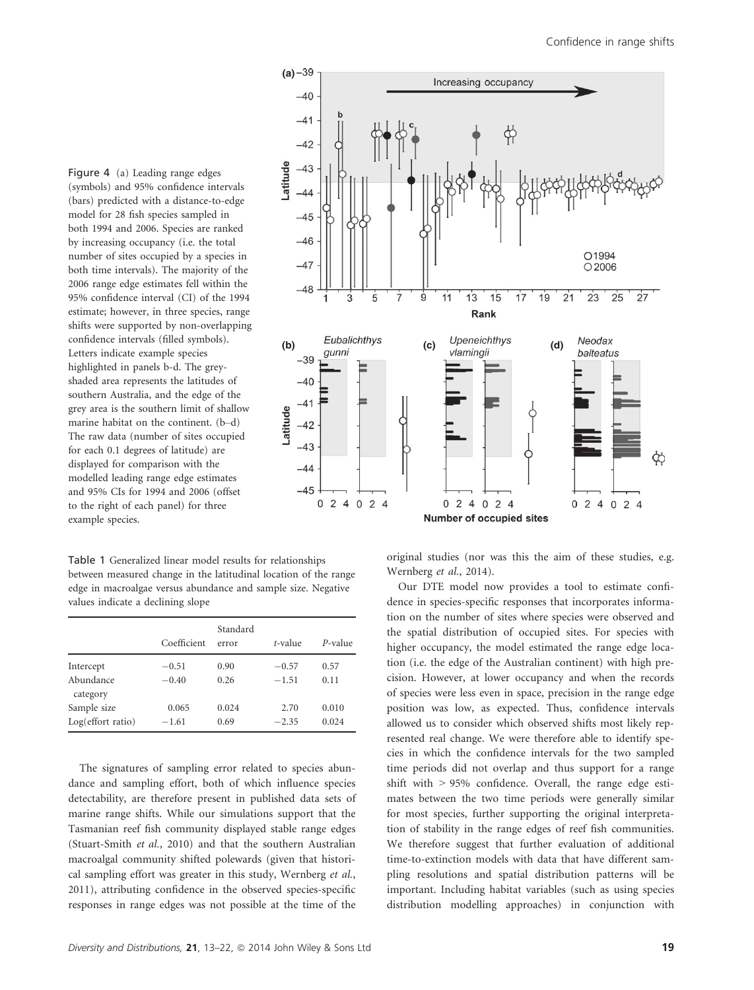Figure 4 (a) Leading range edges (symbols) and 95% confidence intervals (bars) predicted with a distance-to-edge model for 28 fish species sampled in both 1994 and 2006. Species are ranked by increasing occupancy (i.e. the total number of sites occupied by a species in both time intervals). The majority of the 2006 range edge estimates fell within the 95% confidence interval (CI) of the 1994 estimate; however, in three species, range shifts were supported by non-overlapping confidence intervals (filled symbols). Letters indicate example species highlighted in panels b-d. The greyshaded area represents the latitudes of southern Australia, and the edge of the grey area is the southern limit of shallow marine habitat on the continent. (b–d) The raw data (number of sites occupied for each 0.1 degrees of latitude) are displayed for comparison with the modelled leading range edge estimates and 95% CIs for 1994 and 2006 (offset to the right of each panel) for three example species.

Table 1 Generalized linear model results for relationships between measured change in the latitudinal location of the range edge in macroalgae versus abundance and sample size. Negative values indicate a declining slope

|                       | Coefficient | Standard<br>error | t-value | P-value |
|-----------------------|-------------|-------------------|---------|---------|
| Intercept             | $-0.51$     | 0.90              | $-0.57$ | 0.57    |
| Abundance<br>category | $-0.40$     | 0.26              | $-1.51$ | 0.11    |
| Sample size           | 0.065       | 0.024             | 2.70    | 0.010   |
| $Log($ effort ratio)  | $-1.61$     | 0.69              | $-2.35$ | 0.024   |

The signatures of sampling error related to species abundance and sampling effort, both of which influence species detectability, are therefore present in published data sets of marine range shifts. While our simulations support that the Tasmanian reef fish community displayed stable range edges (Stuart-Smith et al., 2010) and that the southern Australian macroalgal community shifted polewards (given that historical sampling effort was greater in this study, Wernberg et al., 2011), attributing confidence in the observed species-specific responses in range edges was not possible at the time of the



original studies (nor was this the aim of these studies, e.g. Wernberg et al., 2014).

Our DTE model now provides a tool to estimate confidence in species-specific responses that incorporates information on the number of sites where species were observed and the spatial distribution of occupied sites. For species with higher occupancy, the model estimated the range edge location (i.e. the edge of the Australian continent) with high precision. However, at lower occupancy and when the records of species were less even in space, precision in the range edge position was low, as expected. Thus, confidence intervals allowed us to consider which observed shifts most likely represented real change. We were therefore able to identify species in which the confidence intervals for the two sampled time periods did not overlap and thus support for a range shift with > 95% confidence. Overall, the range edge estimates between the two time periods were generally similar for most species, further supporting the original interpretation of stability in the range edges of reef fish communities. We therefore suggest that further evaluation of additional time-to-extinction models with data that have different sampling resolutions and spatial distribution patterns will be important. Including habitat variables (such as using species distribution modelling approaches) in conjunction with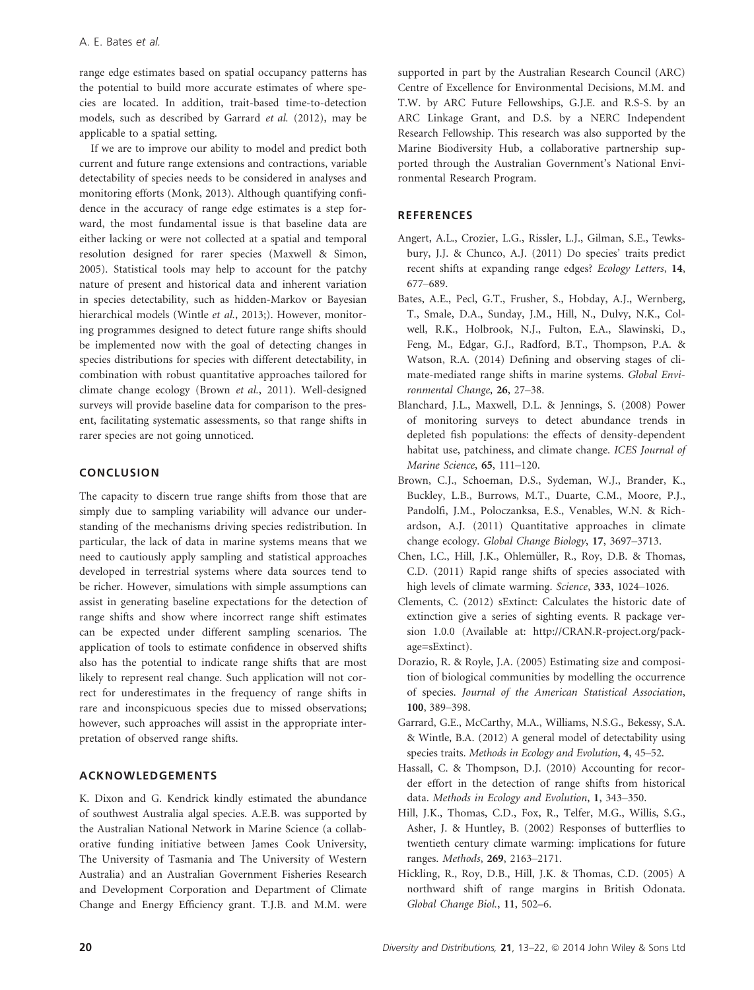range edge estimates based on spatial occupancy patterns has the potential to build more accurate estimates of where species are located. In addition, trait-based time-to-detection models, such as described by Garrard et al. (2012), may be applicable to a spatial setting.

If we are to improve our ability to model and predict both current and future range extensions and contractions, variable detectability of species needs to be considered in analyses and monitoring efforts (Monk, 2013). Although quantifying confidence in the accuracy of range edge estimates is a step forward, the most fundamental issue is that baseline data are either lacking or were not collected at a spatial and temporal resolution designed for rarer species (Maxwell & Simon, 2005). Statistical tools may help to account for the patchy nature of present and historical data and inherent variation in species detectability, such as hidden-Markov or Bayesian hierarchical models (Wintle et al., 2013;). However, monitoring programmes designed to detect future range shifts should be implemented now with the goal of detecting changes in species distributions for species with different detectability, in combination with robust quantitative approaches tailored for climate change ecology (Brown et al., 2011). Well-designed surveys will provide baseline data for comparison to the present, facilitating systematic assessments, so that range shifts in rarer species are not going unnoticed.

# CONCLUSION

The capacity to discern true range shifts from those that are simply due to sampling variability will advance our understanding of the mechanisms driving species redistribution. In particular, the lack of data in marine systems means that we need to cautiously apply sampling and statistical approaches developed in terrestrial systems where data sources tend to be richer. However, simulations with simple assumptions can assist in generating baseline expectations for the detection of range shifts and show where incorrect range shift estimates can be expected under different sampling scenarios. The application of tools to estimate confidence in observed shifts also has the potential to indicate range shifts that are most likely to represent real change. Such application will not correct for underestimates in the frequency of range shifts in rare and inconspicuous species due to missed observations; however, such approaches will assist in the appropriate interpretation of observed range shifts.

# ACKNOWLEDGEMENTS

K. Dixon and G. Kendrick kindly estimated the abundance of southwest Australia algal species. A.E.B. was supported by the Australian National Network in Marine Science (a collaborative funding initiative between James Cook University, The University of Tasmania and The University of Western Australia) and an Australian Government Fisheries Research and Development Corporation and Department of Climate Change and Energy Efficiency grant. T.J.B. and M.M. were

supported in part by the Australian Research Council (ARC) Centre of Excellence for Environmental Decisions, M.M. and T.W. by ARC Future Fellowships, G.J.E. and R.S-S. by an ARC Linkage Grant, and D.S. by a NERC Independent Research Fellowship. This research was also supported by the Marine Biodiversity Hub, a collaborative partnership supported through the Australian Government's National Environmental Research Program.

#### **REFERENCES**

- Angert, A.L., Crozier, L.G., Rissler, L.J., Gilman, S.E., Tewksbury, J.J. & Chunco, A.J. (2011) Do species' traits predict recent shifts at expanding range edges? Ecology Letters, 14, 677–689.
- Bates, A.E., Pecl, G.T., Frusher, S., Hobday, A.J., Wernberg, T., Smale, D.A., Sunday, J.M., Hill, N., Dulvy, N.K., Colwell, R.K., Holbrook, N.J., Fulton, E.A., Slawinski, D., Feng, M., Edgar, G.J., Radford, B.T., Thompson, P.A. & Watson, R.A. (2014) Defining and observing stages of climate-mediated range shifts in marine systems. Global Environmental Change, 26, 27–38.
- Blanchard, J.L., Maxwell, D.L. & Jennings, S. (2008) Power of monitoring surveys to detect abundance trends in depleted fish populations: the effects of density-dependent habitat use, patchiness, and climate change. ICES Journal of Marine Science, 65, 111–120.
- Brown, C.J., Schoeman, D.S., Sydeman, W.J., Brander, K., Buckley, L.B., Burrows, M.T., Duarte, C.M., Moore, P.J., Pandolfi, J.M., Poloczanksa, E.S., Venables, W.N. & Richardson, A.J. (2011) Quantitative approaches in climate change ecology. Global Change Biology, 17, 3697–3713.
- Chen, I.C., Hill, J.K., Ohlemüller, R., Roy, D.B. & Thomas, C.D. (2011) Rapid range shifts of species associated with high levels of climate warming. Science, 333, 1024-1026.
- Clements, C. (2012) sExtinct: Calculates the historic date of extinction give a series of sighting events. R package version 1.0.0 (Available at: http://CRAN.R-project.org/package=sExtinct).
- Dorazio, R. & Royle, J.A. (2005) Estimating size and composition of biological communities by modelling the occurrence of species. Journal of the American Statistical Association, 100, 389–398.
- Garrard, G.E., McCarthy, M.A., Williams, N.S.G., Bekessy, S.A. & Wintle, B.A. (2012) A general model of detectability using species traits. Methods in Ecology and Evolution, 4, 45-52.
- Hassall, C. & Thompson, D.J. (2010) Accounting for recorder effort in the detection of range shifts from historical data. Methods in Ecology and Evolution, 1, 343–350.
- Hill, J.K., Thomas, C.D., Fox, R., Telfer, M.G., Willis, S.G., Asher, J. & Huntley, B. (2002) Responses of butterflies to twentieth century climate warming: implications for future ranges. Methods, 269, 2163–2171.
- Hickling, R., Roy, D.B., Hill, J.K. & Thomas, C.D. (2005) A northward shift of range margins in British Odonata. Global Change Biol., 11, 502–6.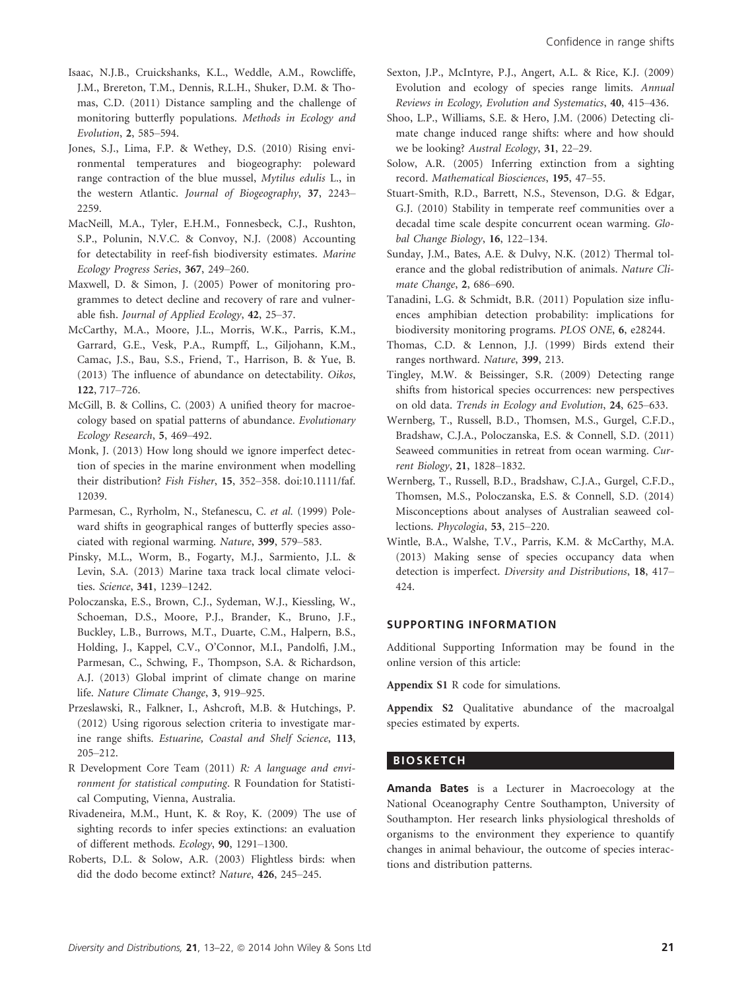- Isaac, N.J.B., Cruickshanks, K.L., Weddle, A.M., Rowcliffe, J.M., Brereton, T.M., Dennis, R.L.H., Shuker, D.M. & Thomas, C.D. (2011) Distance sampling and the challenge of monitoring butterfly populations. Methods in Ecology and Evolution, 2, 585–594.
- Jones, S.J., Lima, F.P. & Wethey, D.S. (2010) Rising environmental temperatures and biogeography: poleward range contraction of the blue mussel, Mytilus edulis L., in the western Atlantic. Journal of Biogeography, 37, 2243– 2259.
- MacNeill, M.A., Tyler, E.H.M., Fonnesbeck, C.J., Rushton, S.P., Polunin, N.V.C. & Convoy, N.J. (2008) Accounting for detectability in reef-fish biodiversity estimates. Marine Ecology Progress Series, 367, 249–260.
- Maxwell, D. & Simon, J. (2005) Power of monitoring programmes to detect decline and recovery of rare and vulnerable fish. Journal of Applied Ecology, 42, 25–37.
- McCarthy, M.A., Moore, J.L., Morris, W.K., Parris, K.M., Garrard, G.E., Vesk, P.A., Rumpff, L., Giljohann, K.M., Camac, J.S., Bau, S.S., Friend, T., Harrison, B. & Yue, B. (2013) The influence of abundance on detectability. Oikos, 122, 717–726.
- McGill, B. & Collins, C. (2003) A unified theory for macroecology based on spatial patterns of abundance. Evolutionary Ecology Research, 5, 469–492.
- Monk, J. (2013) How long should we ignore imperfect detection of species in the marine environment when modelling their distribution? Fish Fisher, 15, 352-358. doi:10.1111/faf. 12039.
- Parmesan, C., Ryrholm, N., Stefanescu, C. et al. (1999) Poleward shifts in geographical ranges of butterfly species associated with regional warming. Nature, 399, 579–583.
- Pinsky, M.L., Worm, B., Fogarty, M.J., Sarmiento, J.L. & Levin, S.A. (2013) Marine taxa track local climate velocities. Science, 341, 1239–1242.
- Poloczanska, E.S., Brown, C.J., Sydeman, W.J., Kiessling, W., Schoeman, D.S., Moore, P.J., Brander, K., Bruno, J.F., Buckley, L.B., Burrows, M.T., Duarte, C.M., Halpern, B.S., Holding, J., Kappel, C.V., O'Connor, M.I., Pandolfi, J.M., Parmesan, C., Schwing, F., Thompson, S.A. & Richardson, A.J. (2013) Global imprint of climate change on marine life. Nature Climate Change, 3, 919–925.
- Przeslawski, R., Falkner, I., Ashcroft, M.B. & Hutchings, P. (2012) Using rigorous selection criteria to investigate marine range shifts. Estuarine, Coastal and Shelf Science, 113, 205–212.
- R Development Core Team (2011) R: A language and environment for statistical computing. R Foundation for Statistical Computing, Vienna, Australia.
- Rivadeneira, M.M., Hunt, K. & Roy, K. (2009) The use of sighting records to infer species extinctions: an evaluation of different methods. Ecology, 90, 1291–1300.
- Roberts, D.L. & Solow, A.R. (2003) Flightless birds: when did the dodo become extinct? Nature, 426, 245–245.
- Sexton, J.P., McIntyre, P.J., Angert, A.L. & Rice, K.J. (2009) Evolution and ecology of species range limits. Annual Reviews in Ecology, Evolution and Systematics, 40, 415–436.
- Shoo, L.P., Williams, S.E. & Hero, J.M. (2006) Detecting climate change induced range shifts: where and how should we be looking? Austral Ecology, 31, 22–29.
- Solow, A.R. (2005) Inferring extinction from a sighting record. Mathematical Biosciences, 195, 47–55.
- Stuart-Smith, R.D., Barrett, N.S., Stevenson, D.G. & Edgar, G.J. (2010) Stability in temperate reef communities over a decadal time scale despite concurrent ocean warming. Global Change Biology, 16, 122–134.
- Sunday, J.M., Bates, A.E. & Dulvy, N.K. (2012) Thermal tolerance and the global redistribution of animals. Nature Climate Change, 2, 686–690.
- Tanadini, L.G. & Schmidt, B.R. (2011) Population size influences amphibian detection probability: implications for biodiversity monitoring programs. PLOS ONE, 6, e28244.
- Thomas, C.D. & Lennon, J.J. (1999) Birds extend their ranges northward. Nature, 399, 213.
- Tingley, M.W. & Beissinger, S.R. (2009) Detecting range shifts from historical species occurrences: new perspectives on old data. Trends in Ecology and Evolution, 24, 625–633.
- Wernberg, T., Russell, B.D., Thomsen, M.S., Gurgel, C.F.D., Bradshaw, C.J.A., Poloczanska, E.S. & Connell, S.D. (2011) Seaweed communities in retreat from ocean warming. Current Biology, 21, 1828–1832.
- Wernberg, T., Russell, B.D., Bradshaw, C.J.A., Gurgel, C.F.D., Thomsen, M.S., Poloczanska, E.S. & Connell, S.D. (2014) Misconceptions about analyses of Australian seaweed collections. Phycologia, 53, 215–220.
- Wintle, B.A., Walshe, T.V., Parris, K.M. & McCarthy, M.A. (2013) Making sense of species occupancy data when detection is imperfect. Diversity and Distributions, 18, 417– 424.

# SUPPORTING INFORMATION

Additional Supporting Information may be found in the online version of this article:

Appendix S1 R code for simulations.

Appendix S2 Qualitative abundance of the macroalgal species estimated by experts.

# **BIOSKETCH**

Amanda Bates is a Lecturer in Macroecology at the National Oceanography Centre Southampton, University of Southampton. Her research links physiological thresholds of organisms to the environment they experience to quantify changes in animal behaviour, the outcome of species interactions and distribution patterns.